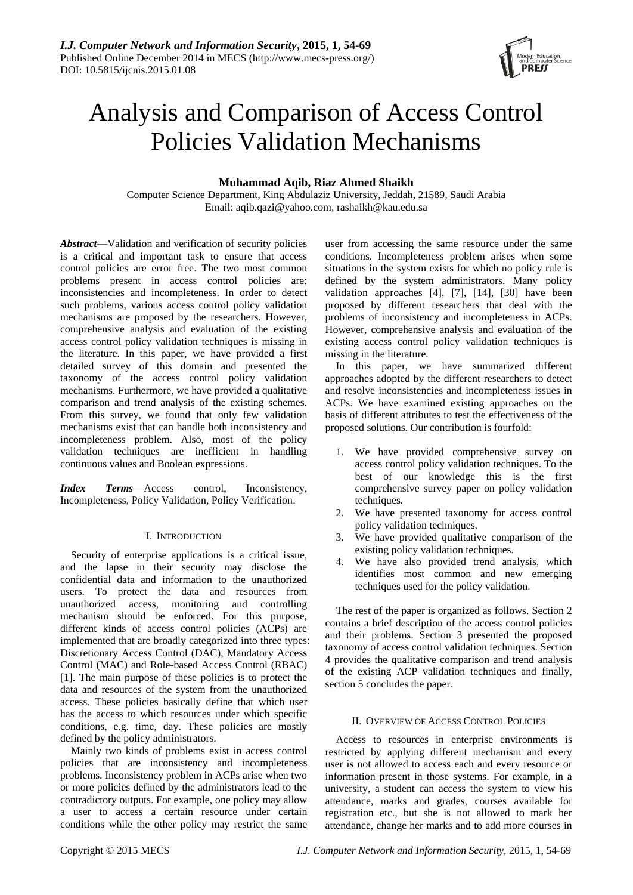

# Analysis and Comparison of Access Control Policies Validation Mechanisms

## **Muhammad Aqib, Riaz Ahmed Shaikh**

Computer Science Department, King Abdulaziz University, Jeddah, 21589, Saudi Arabia Email: aqib.qazi@yahoo.com, rashaikh@kau.edu.sa

*Abstract*—Validation and verification of security policies is a critical and important task to ensure that access control policies are error free. The two most common problems present in access control policies are: inconsistencies and incompleteness. In order to detect such problems, various access control policy validation mechanisms are proposed by the researchers. However, comprehensive analysis and evaluation of the existing access control policy validation techniques is missing in the literature. In this paper, we have provided a first detailed survey of this domain and presented the taxonomy of the access control policy validation mechanisms. Furthermore, we have provided a qualitative comparison and trend analysis of the existing schemes. From this survey, we found that only few validation mechanisms exist that can handle both inconsistency and incompleteness problem. Also, most of the policy validation techniques are inefficient in handling continuous values and Boolean expressions.

*Index Terms*—Access control, Inconsistency, Incompleteness, Policy Validation, Policy Verification.

### I. INTRODUCTION

Security of enterprise applications is a critical issue, and the lapse in their security may disclose the confidential data and information to the unauthorized users. To protect the data and resources from unauthorized access, monitoring and controlling mechanism should be enforced. For this purpose, different kinds of access control policies (ACPs) are implemented that are broadly categorized into three types: Discretionary Access Control (DAC), Mandatory Access Control (MAC) and Role-based Access Control (RBAC) [1]. The main purpose of these policies is to protect the data and resources of the system from the unauthorized access. These policies basically define that which user has the access to which resources under which specific conditions, e.g. time, day. These policies are mostly defined by the policy administrators.

Mainly two kinds of problems exist in access control policies that are inconsistency and incompleteness problems. Inconsistency problem in ACPs arise when two or more policies defined by the administrators lead to the contradictory outputs. For example, one policy may allow a user to access a certain resource under certain conditions while the other policy may restrict the same

user from accessing the same resource under the same conditions. Incompleteness problem arises when some situations in the system exists for which no policy rule is defined by the system administrators. Many policy validation approaches [4], [7], [14], [30] have been proposed by different researchers that deal with the problems of inconsistency and incompleteness in ACPs. However, comprehensive analysis and evaluation of the existing access control policy validation techniques is missing in the literature.

In this paper, we have summarized different approaches adopted by the different researchers to detect and resolve inconsistencies and incompleteness issues in ACPs. We have examined existing approaches on the basis of different attributes to test the effectiveness of the proposed solutions. Our contribution is fourfold:

- 1. We have provided comprehensive survey on access control policy validation techniques. To the best of our knowledge this is the first comprehensive survey paper on policy validation techniques.
- 2. We have presented taxonomy for access control policy validation techniques.
- 3. We have provided qualitative comparison of the existing policy validation techniques.
- 4. We have also provided trend analysis, which identifies most common and new emerging techniques used for the policy validation.

The rest of the paper is organized as follows. Section 2 contains a brief description of the access control policies and their problems. Section 3 presented the proposed taxonomy of access control validation techniques. Section 4 provides the qualitative comparison and trend analysis of the existing ACP validation techniques and finally, section 5 concludes the paper.

#### II. OVERVIEW OF ACCESS CONTROL POLICIES

Access to resources in enterprise environments is restricted by applying different mechanism and every user is not allowed to access each and every resource or information present in those systems. For example, in a university, a student can access the system to view his attendance, marks and grades, courses available for registration etc., but she is not allowed to mark her attendance, change her marks and to add more courses in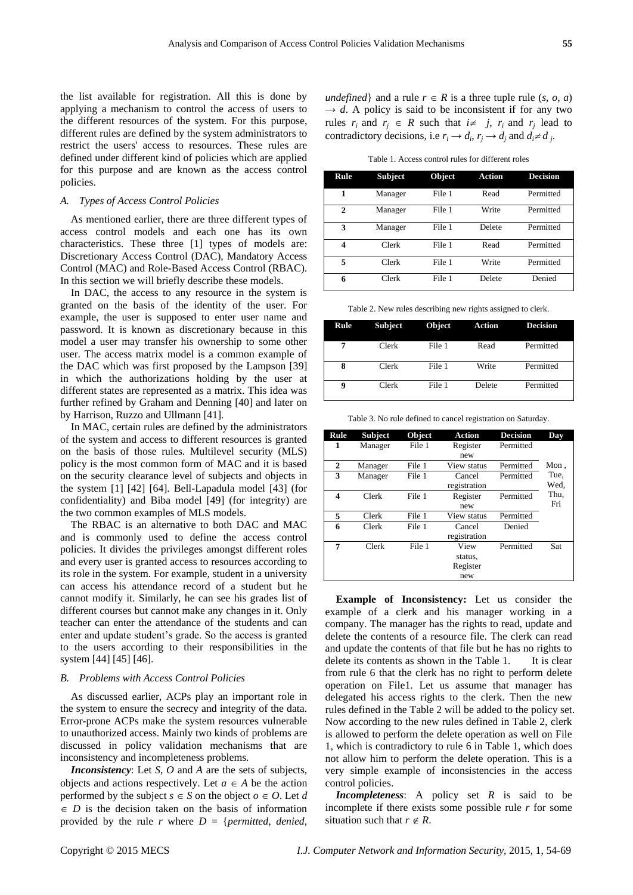the list available for registration. All this is done by applying a mechanism to control the access of users to the different resources of the system. For this purpose, different rules are defined by the system administrators to restrict the users' access to resources. These rules are defined under different kind of policies which are applied for this purpose and are known as the access control policies.

### *A. Types of Access Control Policies*

As mentioned earlier, there are three different types of access control models and each one has its own characteristics. These three [1] types of models are: Discretionary Access Control (DAC), Mandatory Access Control (MAC) and Role-Based Access Control (RBAC). In this section we will briefly describe these models.

In DAC, the access to any resource in the system is granted on the basis of the identity of the user. For example, the user is supposed to enter user name and password. It is known as discretionary because in this model a user may transfer his ownership to some other user. The access matrix model is a common example of the DAC which was first proposed by the Lampson [39] in which the authorizations holding by the user at different states are represented as a matrix. This idea was further refined by Graham and Denning [40] and later on by Harrison, Ruzzo and Ullmann [41].

In MAC, certain rules are defined by the administrators of the system and access to different resources is granted on the basis of those rules. Multilevel security (MLS) policy is the most common form of MAC and it is based on the security clearance level of subjects and objects in the system [1] [42] [64]. Bell-Lapadula model [43] (for confidentiality) and Biba model [49] (for integrity) are the two common examples of MLS models.

The RBAC is an alternative to both DAC and MAC and is commonly used to define the access control policies. It divides the privileges amongst different roles and every user is granted access to resources according to its role in the system. For example, student in a university can access his attendance record of a student but he cannot modify it. Similarly, he can see his grades list of different courses but cannot make any changes in it. Only teacher can enter the attendance of the students and can enter and update student's grade. So the access is granted to the users according to their responsibilities in the system [44] [45] [46].

## *B. Problems with Access Control Policies*

As discussed earlier, ACPs play an important role in the system to ensure the secrecy and integrity of the data. Error-prone ACPs make the system resources vulnerable to unauthorized access. Mainly two kinds of problems are discussed in policy validation mechanisms that are inconsistency and incompleteness problems.

*Inconsistency*: Let *S*, *O* and *A* are the sets of subjects, objects and actions respectively. Let  $a \in A$  be the action performed by the subject  $s \in S$  on the object  $o \in O$ . Let *d*  $\in$  *D* is the decision taken on the basis of information provided by the rule  $r$  where  $D = \{permitted, denied,$  *undefined*} and a rule  $r \in R$  is a three tuple rule  $(s, o, a)$  $\rightarrow$  *d*. A policy is said to be inconsistent if for any two rules  $r_i$  and  $r_j \in R$  such that  $i \neq j$ ,  $r_i$  and  $r_j$  lead to contradictory decisions, i.e  $r_i \rightarrow d_i$ ,  $r_j \rightarrow d_j$  and  $d_i \neq d_j$ .

Table 1. Access control rules for different roles

| Rule         | <b>Subject</b> | Object | <b>Action</b> | <b>Decision</b> |
|--------------|----------------|--------|---------------|-----------------|
| 1            | Manager        | File 1 | Read          | Permitted       |
| $\mathbf{2}$ | Manager        | File 1 | Write         | Permitted       |
| 3            | Manager        | File 1 | Delete        | Permitted       |
| 4            | Clerk          | File 1 | Read          | Permitted       |
| 5            | Clerk          | File 1 | Write         | Permitted       |
| 6            | Clerk          | File 1 | Delete        | Denied          |

Table 2. New rules describing new rights assigned to clerk.

| Rule | <b>Subject</b> | <b>Object</b> | <b>Action</b> | <b>Decision</b> |
|------|----------------|---------------|---------------|-----------------|
|      | Clerk          | File 1        | Read          | Permitted       |
| 8    | Clerk          | File 1        | Write         | Permitted       |
| 9    | Clerk          | File 1        | Delete        | Permitted       |

Table 3. No rule defined to cancel registration on Saturday.

| Rule | <b>Subject</b> | Object | <b>Action</b> | <b>Decision</b> | Day  |
|------|----------------|--------|---------------|-----------------|------|
| 1    | Manager        | File 1 | Register      | Permitted       |      |
|      |                |        | new           |                 |      |
| 2    | Manager        | File 1 | View status   | Permitted       | Mon, |
| 3    | Manager        | File 1 | Cancel        | Permitted       | Tue, |
|      |                |        | registration  |                 | Wed, |
| 4    | Clerk          | File 1 | Register      | Permitted       | Thu, |
|      |                |        | new           |                 | Fri  |
| 5    | Clerk          | File 1 | View status   | Permitted       |      |
| 6    | Clerk          | File 1 | Cancel        | Denied          |      |
|      |                |        | registration  |                 |      |
| 7    | Clerk          | File 1 | View          | Permitted       | Sat  |
|      |                |        | status,       |                 |      |
|      |                |        | Register      |                 |      |
|      |                |        | new           |                 |      |

**Example of Inconsistency:** Let us consider the example of a clerk and his manager working in a company. The manager has the rights to read, update and delete the contents of a resource file. The clerk can read and update the contents of that file but he has no rights to delete its contents as shown in the Table 1. It is clear from rule 6 that the clerk has no right to perform delete operation on File1. Let us assume that manager has delegated his access rights to the clerk. Then the new rules defined in the Table 2 will be added to the policy set. Now according to the new rules defined in Table 2, clerk is allowed to perform the delete operation as well on File 1, which is contradictory to rule 6 in Table 1, which does not allow him to perform the delete operation. This is a very simple example of inconsistencies in the access control policies.

*Incompleteness*: A policy set *R* is said to be incomplete if there exists some possible rule *r* for some situation such that  $r \notin R$ .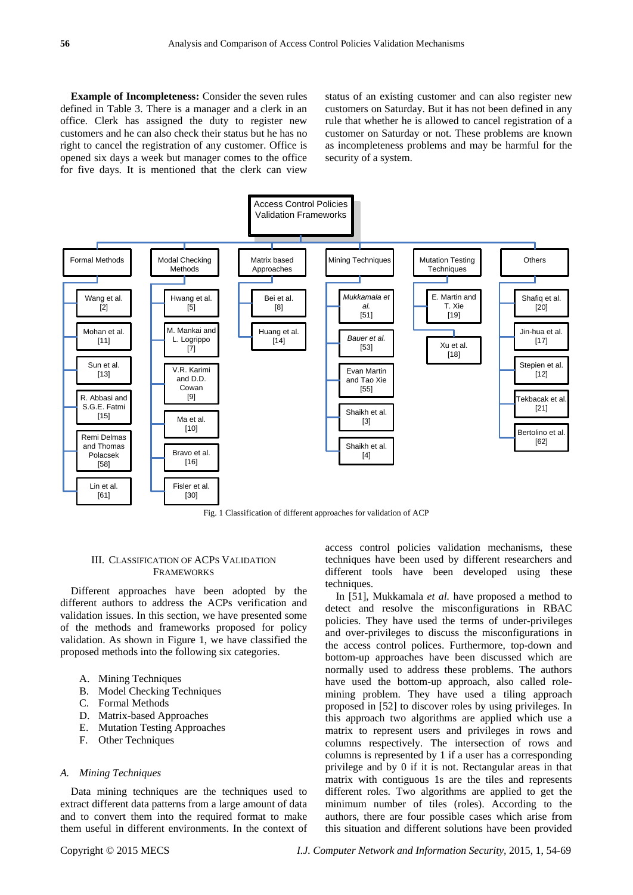**Example of Incompleteness:** Consider the seven rules defined in Table 3. There is a manager and a clerk in an office. Clerk has assigned the duty to register new customers and he can also check their status but he has no right to cancel the registration of any customer. Office is opened six days a week but manager comes to the office for five days. It is mentioned that the clerk can view

status of an existing customer and can also register new customers on Saturday. But it has not been defined in any rule that whether he is allowed to cancel registration of a customer on Saturday or not. These problems are known as incompleteness problems and may be harmful for the security of a system.



## III. CLASSIFICATION OF ACPS VALIDATION FRAMEWORKS

Different approaches have been adopted by the different authors to address the ACPs verification and validation issues. In this section, we have presented some of the methods and frameworks proposed for policy validation. As shown in Figure 1, we have classified the proposed methods into the following six categories.

- A. Mining Techniques
- B. Model Checking Techniques
- C. Formal Methods
- D. Matrix-based Approaches
- E. Mutation Testing Approaches
- F. Other Techniques

#### *A. Mining Techniques*

Data mining techniques are the techniques used to extract different data patterns from a large amount of data and to convert them into the required format to make them useful in different environments. In the context of access control policies validation mechanisms, these techniques have been used by different researchers and different tools have been developed using these techniques.

In [51], Mukkamala *et al.* have proposed a method to detect and resolve the misconfigurations in RBAC policies. They have used the terms of under-privileges and over-privileges to discuss the misconfigurations in the access control polices. Furthermore, top-down and bottom-up approaches have been discussed which are normally used to address these problems. The authors have used the bottom-up approach, also called rolemining problem. They have used a tiling approach proposed in [52] to discover roles by using privileges. In this approach two algorithms are applied which use a matrix to represent users and privileges in rows and columns respectively. The intersection of rows and columns is represented by 1 if a user has a corresponding privilege and by 0 if it is not. Rectangular areas in that matrix with contiguous 1s are the tiles and represents different roles. Two algorithms are applied to get the minimum number of tiles (roles). According to the authors, there are four possible cases which arise from this situation and different solutions have been provided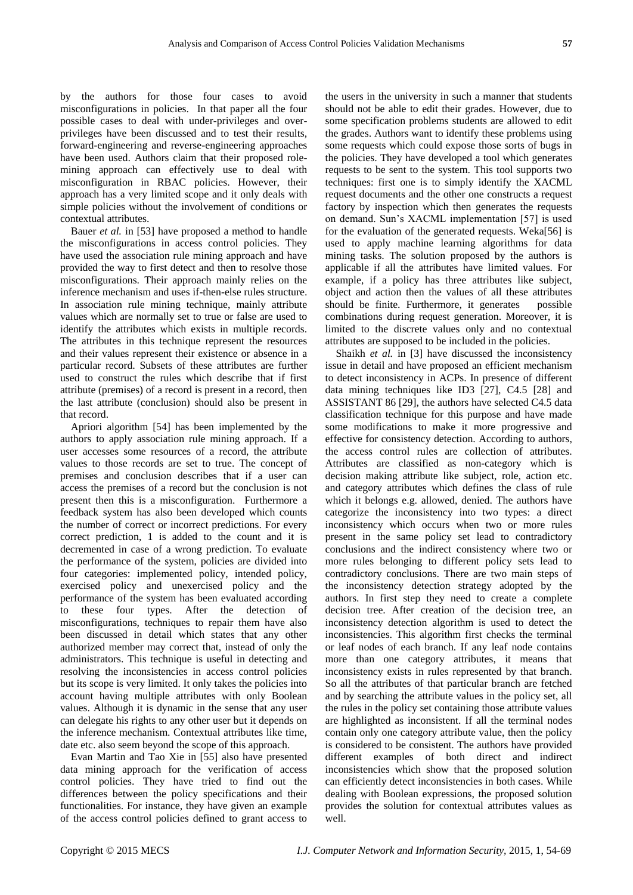by the authors for those four cases to avoid misconfigurations in policies. In that paper all the four possible cases to deal with under-privileges and overprivileges have been discussed and to test their results, forward-engineering and reverse-engineering approaches have been used. Authors claim that their proposed rolemining approach can effectively use to deal with misconfiguration in RBAC policies. However, their approach has a very limited scope and it only deals with simple policies without the involvement of conditions or contextual attributes.

Bauer *et al.* in [53] have proposed a method to handle the misconfigurations in access control policies. They have used the association rule mining approach and have provided the way to first detect and then to resolve those misconfigurations. Their approach mainly relies on the inference mechanism and uses if-then-else rules structure. In association rule mining technique, mainly attribute values which are normally set to true or false are used to identify the attributes which exists in multiple records. The attributes in this technique represent the resources and their values represent their existence or absence in a particular record. Subsets of these attributes are further used to construct the rules which describe that if first attribute (premises) of a record is present in a record, then the last attribute (conclusion) should also be present in that record.

Apriori algorithm [54] has been implemented by the authors to apply association rule mining approach. If a user accesses some resources of a record, the attribute values to those records are set to true. The concept of premises and conclusion describes that if a user can access the premises of a record but the conclusion is not present then this is a misconfiguration. Furthermore a feedback system has also been developed which counts the number of correct or incorrect predictions. For every correct prediction, 1 is added to the count and it is decremented in case of a wrong prediction. To evaluate the performance of the system, policies are divided into four categories: implemented policy, intended policy, exercised policy and unexercised policy and the performance of the system has been evaluated according to these four types. After the detection of misconfigurations, techniques to repair them have also been discussed in detail which states that any other authorized member may correct that, instead of only the administrators. This technique is useful in detecting and resolving the inconsistencies in access control policies but its scope is very limited. It only takes the policies into account having multiple attributes with only Boolean values. Although it is dynamic in the sense that any user can delegate his rights to any other user but it depends on the inference mechanism. Contextual attributes like time, date etc. also seem beyond the scope of this approach.

Evan Martin and Tao Xie in [55] also have presented data mining approach for the verification of access control policies. They have tried to find out the differences between the policy specifications and their functionalities. For instance, they have given an example of the access control policies defined to grant access to

the users in the university in such a manner that students should not be able to edit their grades. However, due to some specification problems students are allowed to edit the grades. Authors want to identify these problems using some requests which could expose those sorts of bugs in the policies. They have developed a tool which generates requests to be sent to the system. This tool supports two techniques: first one is to simply identify the XACML request documents and the other one constructs a request factory by inspection which then generates the requests on demand. Sun's XACML implementation [57] is used for the evaluation of the generated requests. Weka[56] is used to apply machine learning algorithms for data mining tasks. The solution proposed by the authors is applicable if all the attributes have limited values. For example, if a policy has three attributes like subject, object and action then the values of all these attributes should be finite. Furthermore, it generates possible combinations during request generation. Moreover, it is limited to the discrete values only and no contextual attributes are supposed to be included in the policies.

Shaikh *et al.* in [3] have discussed the inconsistency issue in detail and have proposed an efficient mechanism to detect inconsistency in ACPs. In presence of different data mining techniques like ID3 [27], C4.5 [28] and ASSISTANT 86 [29], the authors have selected C4.5 data classification technique for this purpose and have made some modifications to make it more progressive and effective for consistency detection. According to authors, the access control rules are collection of attributes. Attributes are classified as non-category which is decision making attribute like subject, role, action etc. and category attributes which defines the class of rule which it belongs e.g. allowed, denied. The authors have categorize the inconsistency into two types: a direct inconsistency which occurs when two or more rules present in the same policy set lead to contradictory conclusions and the indirect consistency where two or more rules belonging to different policy sets lead to contradictory conclusions. There are two main steps of the inconsistency detection strategy adopted by the authors. In first step they need to create a complete decision tree. After creation of the decision tree, an inconsistency detection algorithm is used to detect the inconsistencies. This algorithm first checks the terminal or leaf nodes of each branch. If any leaf node contains more than one category attributes, it means that inconsistency exists in rules represented by that branch. So all the attributes of that particular branch are fetched and by searching the attribute values in the policy set, all the rules in the policy set containing those attribute values are highlighted as inconsistent. If all the terminal nodes contain only one category attribute value, then the policy is considered to be consistent. The authors have provided different examples of both direct and indirect inconsistencies which show that the proposed solution can efficiently detect inconsistencies in both cases. While dealing with Boolean expressions, the proposed solution provides the solution for contextual attributes values as well.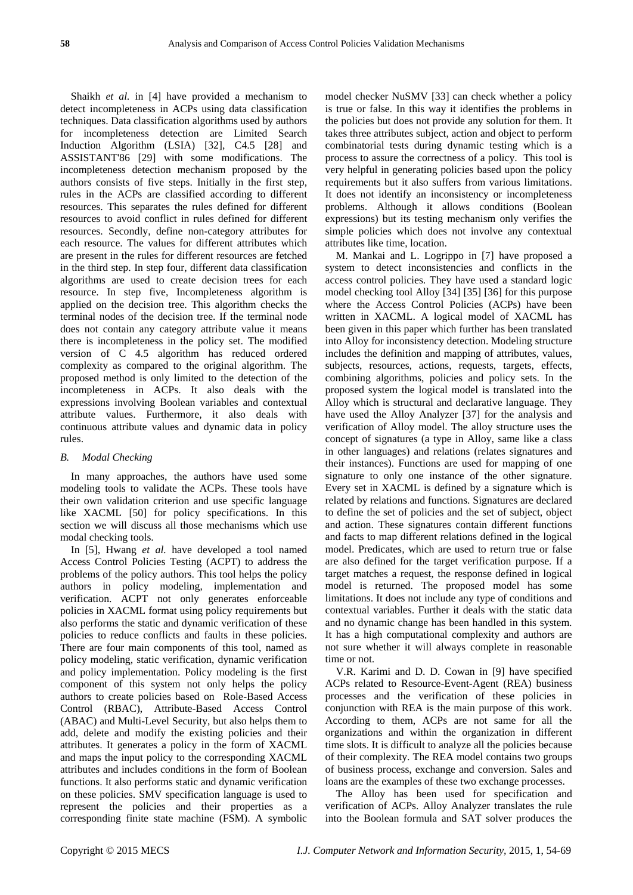Shaikh *et al.* in [4] have provided a mechanism to detect incompleteness in ACPs using data classification techniques. Data classification algorithms used by authors for incompleteness detection are Limited Search Induction Algorithm (LSIA) [32], C4.5 [28] and ASSISTANT'86 [29] with some modifications. The incompleteness detection mechanism proposed by the authors consists of five steps. Initially in the first step, rules in the ACPs are classified according to different resources. This separates the rules defined for different resources to avoid conflict in rules defined for different resources. Secondly, define non-category attributes for each resource. The values for different attributes which are present in the rules for different resources are fetched in the third step. In step four, different data classification algorithms are used to create decision trees for each resource. In step five, Incompleteness algorithm is applied on the decision tree. This algorithm checks the terminal nodes of the decision tree. If the terminal node does not contain any category attribute value it means there is incompleteness in the policy set. The modified version of C 4.5 algorithm has reduced ordered complexity as compared to the original algorithm. The proposed method is only limited to the detection of the incompleteness in ACPs. It also deals with the expressions involving Boolean variables and contextual attribute values. Furthermore, it also deals with continuous attribute values and dynamic data in policy rules.

### *B. Modal Checking*

In many approaches, the authors have used some modeling tools to validate the ACPs. These tools have their own validation criterion and use specific language like XACML [50] for policy specifications. In this section we will discuss all those mechanisms which use modal checking tools.

In [5], Hwang *et al.* have developed a tool named Access Control Policies Testing (ACPT) to address the problems of the policy authors. This tool helps the policy authors in policy modeling, implementation and verification. ACPT not only generates enforceable policies in XACML format using policy requirements but also performs the static and dynamic verification of these policies to reduce conflicts and faults in these policies. There are four main components of this tool, named as policy modeling, static verification, dynamic verification and policy implementation. Policy modeling is the first component of this system not only helps the policy authors to create policies based on Role-Based Access Control (RBAC), Attribute-Based Access Control (ABAC) and Multi-Level Security, but also helps them to add, delete and modify the existing policies and their attributes. It generates a policy in the form of XACML and maps the input policy to the corresponding XACML attributes and includes conditions in the form of Boolean functions. It also performs static and dynamic verification on these policies. SMV specification language is used to represent the policies and their properties as a corresponding finite state machine (FSM). A symbolic

model checker NuSMV [33] can check whether a policy is true or false. In this way it identifies the problems in the policies but does not provide any solution for them. It takes three attributes subject, action and object to perform combinatorial tests during dynamic testing which is a process to assure the correctness of a policy. This tool is very helpful in generating policies based upon the policy requirements but it also suffers from various limitations. It does not identify an inconsistency or incompleteness problems. Although it allows conditions (Boolean expressions) but its testing mechanism only verifies the simple policies which does not involve any contextual attributes like time, location.

M. Mankai and L. Logrippo in [7] have proposed a system to detect inconsistencies and conflicts in the access control policies. They have used a standard logic model checking tool Alloy [34] [35] [36] for this purpose where the Access Control Policies (ACPs) have been written in XACML. A logical model of XACML has been given in this paper which further has been translated into Alloy for inconsistency detection. Modeling structure includes the definition and mapping of attributes, values, subjects, resources, actions, requests, targets, effects, combining algorithms, policies and policy sets. In the proposed system the logical model is translated into the Alloy which is structural and declarative language. They have used the Alloy Analyzer [37] for the analysis and verification of Alloy model. The alloy structure uses the concept of signatures (a type in Alloy, same like a class in other languages) and relations (relates signatures and their instances). Functions are used for mapping of one signature to only one instance of the other signature. Every set in XACML is defined by a signature which is related by relations and functions. Signatures are declared to define the set of policies and the set of subject, object and action. These signatures contain different functions and facts to map different relations defined in the logical model. Predicates, which are used to return true or false are also defined for the target verification purpose. If a target matches a request, the response defined in logical model is returned. The proposed model has some limitations. It does not include any type of conditions and contextual variables. Further it deals with the static data and no dynamic change has been handled in this system. It has a high computational complexity and authors are not sure whether it will always complete in reasonable time or not.

V.R. Karimi and D. D. Cowan in [9] have specified ACPs related to Resource-Event-Agent (REA) business processes and the verification of these policies in conjunction with REA is the main purpose of this work. According to them, ACPs are not same for all the organizations and within the organization in different time slots. It is difficult to analyze all the policies because of their complexity. The REA model contains two groups of business process, exchange and conversion. Sales and loans are the examples of these two exchange processes.

The Alloy has been used for specification and verification of ACPs. Alloy Analyzer translates the rule into the Boolean formula and SAT solver produces the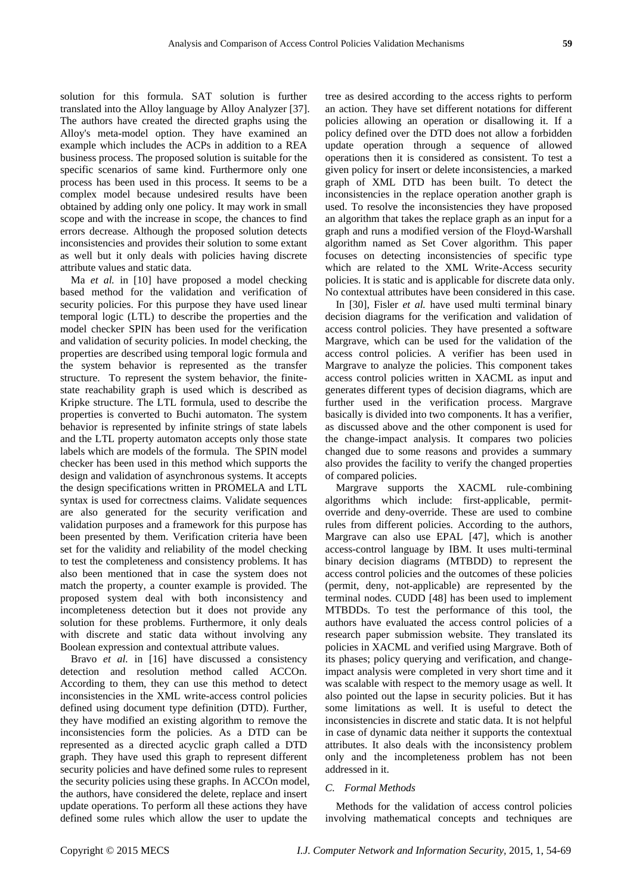solution for this formula. SAT solution is further translated into the Alloy language by Alloy Analyzer [37]. The authors have created the directed graphs using the Alloy's meta-model option. They have examined an example which includes the ACPs in addition to a REA business process. The proposed solution is suitable for the specific scenarios of same kind. Furthermore only one process has been used in this process. It seems to be a complex model because undesired results have been obtained by adding only one policy. It may work in small scope and with the increase in scope, the chances to find errors decrease. Although the proposed solution detects inconsistencies and provides their solution to some extant as well but it only deals with policies having discrete attribute values and static data.

Ma *et al.* in [10] have proposed a model checking based method for the validation and verification of security policies. For this purpose they have used linear temporal logic (LTL) to describe the properties and the model checker SPIN has been used for the verification and validation of security policies. In model checking, the properties are described using temporal logic formula and the system behavior is represented as the transfer structure. To represent the system behavior, the finitestate reachability graph is used which is described as Kripke structure. The LTL formula, used to describe the properties is converted to Buchi automaton. The system behavior is represented by infinite strings of state labels and the LTL property automaton accepts only those state labels which are models of the formula. The SPIN model checker has been used in this method which supports the design and validation of asynchronous systems. It accepts the design specifications written in PROMELA and LTL syntax is used for correctness claims. Validate sequences are also generated for the security verification and validation purposes and a framework for this purpose has been presented by them. Verification criteria have been set for the validity and reliability of the model checking to test the completeness and consistency problems. It has also been mentioned that in case the system does not match the property, a counter example is provided. The proposed system deal with both inconsistency and incompleteness detection but it does not provide any solution for these problems. Furthermore, it only deals with discrete and static data without involving any Boolean expression and contextual attribute values.

Bravo *et al.* in [16] have discussed a consistency detection and resolution method called ACCOn. According to them, they can use this method to detect inconsistencies in the XML write-access control policies defined using document type definition (DTD). Further, they have modified an existing algorithm to remove the inconsistencies form the policies. As a DTD can be represented as a directed acyclic graph called a DTD graph. They have used this graph to represent different security policies and have defined some rules to represent the security policies using these graphs. In ACCOn model, the authors, have considered the delete, replace and insert update operations. To perform all these actions they have defined some rules which allow the user to update the

tree as desired according to the access rights to perform an action. They have set different notations for different policies allowing an operation or disallowing it. If a policy defined over the DTD does not allow a forbidden update operation through a sequence of allowed operations then it is considered as consistent. To test a given policy for insert or delete inconsistencies, a marked graph of XML DTD has been built. To detect the inconsistencies in the replace operation another graph is used. To resolve the inconsistencies they have proposed an algorithm that takes the replace graph as an input for a graph and runs a modified version of the Floyd-Warshall algorithm named as Set Cover algorithm. This paper focuses on detecting inconsistencies of specific type which are related to the XML Write-Access security policies. It is static and is applicable for discrete data only. No contextual attributes have been considered in this case.

In [30], Fisler *et al.* have used multi terminal binary decision diagrams for the verification and validation of access control policies. They have presented a software Margrave, which can be used for the validation of the access control policies. A verifier has been used in Margrave to analyze the policies. This component takes access control policies written in XACML as input and generates different types of decision diagrams, which are further used in the verification process. Margrave basically is divided into two components. It has a verifier, as discussed above and the other component is used for the change-impact analysis. It compares two policies changed due to some reasons and provides a summary also provides the facility to verify the changed properties of compared policies.

Margrave supports the XACML rule-combining algorithms which include: first-applicable, permitoverride and deny-override. These are used to combine rules from different policies. According to the authors, Margrave can also use EPAL [47], which is another access-control language by IBM. It uses multi-terminal binary decision diagrams (MTBDD) to represent the access control policies and the outcomes of these policies (permit, deny, not-applicable) are represented by the terminal nodes. CUDD [48] has been used to implement MTBDDs. To test the performance of this tool, the authors have evaluated the access control policies of a research paper submission website. They translated its policies in XACML and verified using Margrave. Both of its phases; policy querying and verification, and changeimpact analysis were completed in very short time and it was scalable with respect to the memory usage as well. It also pointed out the lapse in security policies. But it has some limitations as well. It is useful to detect the inconsistencies in discrete and static data. It is not helpful in case of dynamic data neither it supports the contextual attributes. It also deals with the inconsistency problem only and the incompleteness problem has not been addressed in it.

#### *C. Formal Methods*

Methods for the validation of access control policies involving mathematical concepts and techniques are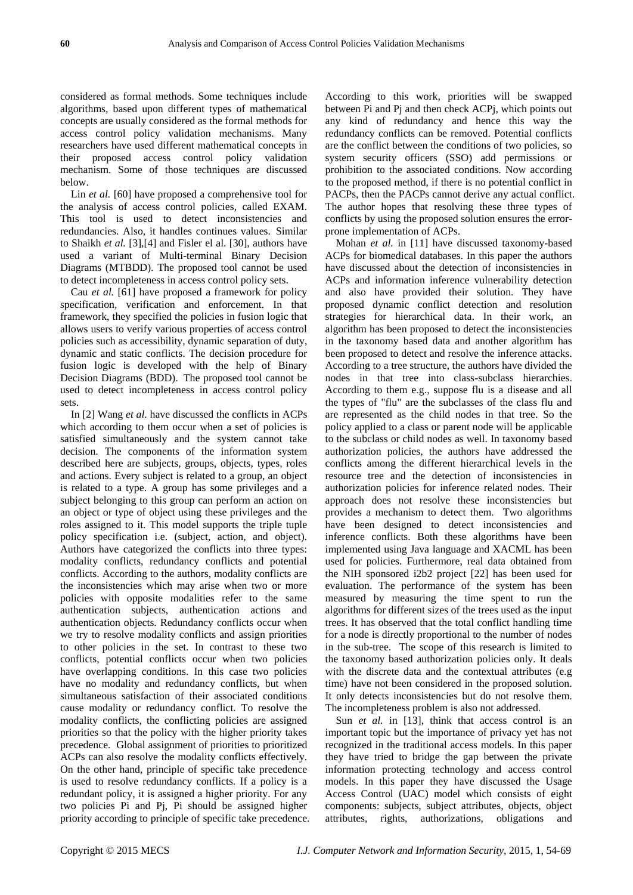considered as formal methods. Some techniques include algorithms, based upon different types of mathematical concepts are usually considered as the formal methods for access control policy validation mechanisms. Many researchers have used different mathematical concepts in their proposed access control policy validation mechanism. Some of those techniques are discussed below.

Lin *et al.* [60] have proposed a comprehensive tool for the analysis of access control policies, called EXAM. This tool is used to detect inconsistencies and redundancies. Also, it handles continues values. Similar to Shaikh *et al.* [3],[4] and Fisler el al. [30], authors have used a variant of Multi-terminal Binary Decision Diagrams (MTBDD). The proposed tool cannot be used to detect incompleteness in access control policy sets.

Cau *et al.* [61] have proposed a framework for policy specification, verification and enforcement. In that framework, they specified the policies in fusion logic that allows users to verify various properties of access control policies such as accessibility, dynamic separation of duty, dynamic and static conflicts. The decision procedure for fusion logic is developed with the help of Binary Decision Diagrams (BDD). The proposed tool cannot be used to detect incompleteness in access control policy sets.

In [2] Wang *et al.* have discussed the conflicts in ACPs which according to them occur when a set of policies is satisfied simultaneously and the system cannot take decision. The components of the information system described here are subjects, groups, objects, types, roles and actions. Every subject is related to a group, an object is related to a type. A group has some privileges and a subject belonging to this group can perform an action on an object or type of object using these privileges and the roles assigned to it. This model supports the triple tuple policy specification i.e. (subject, action, and object). Authors have categorized the conflicts into three types: modality conflicts, redundancy conflicts and potential conflicts. According to the authors, modality conflicts are the inconsistencies which may arise when two or more policies with opposite modalities refer to the same authentication subjects, authentication actions and authentication objects. Redundancy conflicts occur when we try to resolve modality conflicts and assign priorities to other policies in the set. In contrast to these two conflicts, potential conflicts occur when two policies have overlapping conditions. In this case two policies have no modality and redundancy conflicts, but when simultaneous satisfaction of their associated conditions cause modality or redundancy conflict. To resolve the modality conflicts, the conflicting policies are assigned priorities so that the policy with the higher priority takes precedence. Global assignment of priorities to prioritized ACPs can also resolve the modality conflicts effectively. On the other hand, principle of specific take precedence is used to resolve redundancy conflicts. If a policy is a redundant policy, it is assigned a higher priority. For any two policies Pi and Pj, Pi should be assigned higher priority according to principle of specific take precedence. According to this work, priorities will be swapped between Pi and Pj and then check ACPj, which points out any kind of redundancy and hence this way the redundancy conflicts can be removed. Potential conflicts are the conflict between the conditions of two policies, so system security officers (SSO) add permissions or prohibition to the associated conditions. Now according to the proposed method, if there is no potential conflict in PACPs, then the PACPs cannot derive any actual conflict. The author hopes that resolving these three types of conflicts by using the proposed solution ensures the errorprone implementation of ACPs.

Mohan *et al.* in [11] have discussed taxonomy-based ACPs for biomedical databases. In this paper the authors have discussed about the detection of inconsistencies in ACPs and information inference vulnerability detection and also have provided their solution. They have proposed dynamic conflict detection and resolution strategies for hierarchical data. In their work, an algorithm has been proposed to detect the inconsistencies in the taxonomy based data and another algorithm has been proposed to detect and resolve the inference attacks. According to a tree structure, the authors have divided the nodes in that tree into class-subclass hierarchies. According to them e.g., suppose flu is a disease and all the types of "flu" are the subclasses of the class flu and are represented as the child nodes in that tree. So the policy applied to a class or parent node will be applicable to the subclass or child nodes as well. In taxonomy based authorization policies, the authors have addressed the conflicts among the different hierarchical levels in the resource tree and the detection of inconsistencies in authorization policies for inference related nodes. Their approach does not resolve these inconsistencies but provides a mechanism to detect them. Two algorithms have been designed to detect inconsistencies and inference conflicts. Both these algorithms have been implemented using Java language and XACML has been used for policies. Furthermore, real data obtained from the NIH sponsored i2b2 project [22] has been used for evaluation. The performance of the system has been measured by measuring the time spent to run the algorithms for different sizes of the trees used as the input trees. It has observed that the total conflict handling time for a node is directly proportional to the number of nodes in the sub-tree. The scope of this research is limited to the taxonomy based authorization policies only. It deals with the discrete data and the contextual attributes (e.g time) have not been considered in the proposed solution. It only detects inconsistencies but do not resolve them. The incompleteness problem is also not addressed.

Sun *et al.* in [13], think that access control is an important topic but the importance of privacy yet has not recognized in the traditional access models. In this paper they have tried to bridge the gap between the private information protecting technology and access control models. In this paper they have discussed the Usage Access Control (UAC) model which consists of eight components: subjects, subject attributes, objects, object attributes, rights, authorizations, obligations and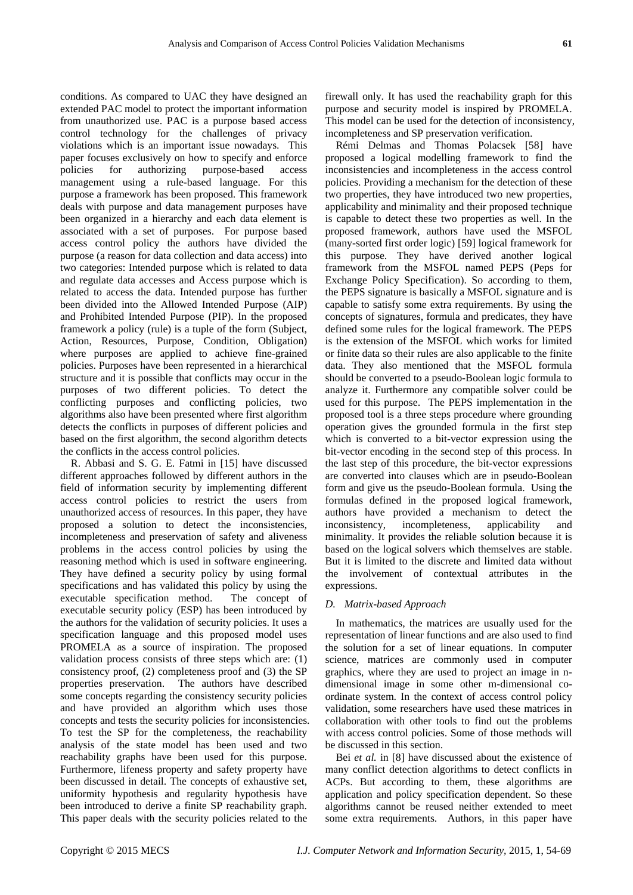conditions. As compared to UAC they have designed an extended PAC model to protect the important information from unauthorized use. PAC is a purpose based access control technology for the challenges of privacy violations which is an important issue nowadays. This paper focuses exclusively on how to specify and enforce policies for authorizing purpose-based access management using a rule-based language. For this purpose a framework has been proposed. This framework deals with purpose and data management purposes have been organized in a hierarchy and each data element is associated with a set of purposes. For purpose based access control policy the authors have divided the purpose (a reason for data collection and data access) into two categories: Intended purpose which is related to data and regulate data accesses and Access purpose which is related to access the data. Intended purpose has further been divided into the Allowed Intended Purpose (AIP) and Prohibited Intended Purpose (PIP). In the proposed framework a policy (rule) is a tuple of the form (Subject, Action, Resources, Purpose, Condition, Obligation) where purposes are applied to achieve fine-grained policies. Purposes have been represented in a hierarchical structure and it is possible that conflicts may occur in the purposes of two different policies. To detect the conflicting purposes and conflicting policies, two algorithms also have been presented where first algorithm detects the conflicts in purposes of different policies and based on the first algorithm, the second algorithm detects the conflicts in the access control policies.

R. Abbasi and S. G. E. Fatmi in [15] have discussed different approaches followed by different authors in the field of information security by implementing different access control policies to restrict the users from unauthorized access of resources. In this paper, they have proposed a solution to detect the inconsistencies, incompleteness and preservation of safety and aliveness problems in the access control policies by using the reasoning method which is used in software engineering. They have defined a security policy by using formal specifications and has validated this policy by using the executable specification method. The concept of executable security policy (ESP) has been introduced by the authors for the validation of security policies. It uses a specification language and this proposed model uses PROMELA as a source of inspiration. The proposed validation process consists of three steps which are: (1) consistency proof, (2) completeness proof and (3) the SP properties preservation. The authors have described some concepts regarding the consistency security policies and have provided an algorithm which uses those concepts and tests the security policies for inconsistencies. To test the SP for the completeness, the reachability analysis of the state model has been used and two reachability graphs have been used for this purpose. Furthermore, lifeness property and safety property have been discussed in detail. The concepts of exhaustive set, uniformity hypothesis and regularity hypothesis have been introduced to derive a finite SP reachability graph. This paper deals with the security policies related to the

firewall only. It has used the reachability graph for this purpose and security model is inspired by PROMELA. This model can be used for the detection of inconsistency, incompleteness and SP preservation verification.

Rémi Delmas and Thomas Polacsek [58] have proposed a logical modelling framework to find the inconsistencies and incompleteness in the access control policies. Providing a mechanism for the detection of these two properties, they have introduced two new properties, applicability and minimality and their proposed technique is capable to detect these two properties as well. In the proposed framework, authors have used the MSFOL (many-sorted first order logic) [59] logical framework for this purpose. They have derived another logical framework from the MSFOL named PEPS (Peps for Exchange Policy Specification). So according to them, the PEPS signature is basically a MSFOL signature and is capable to satisfy some extra requirements. By using the concepts of signatures, formula and predicates, they have defined some rules for the logical framework. The PEPS is the extension of the MSFOL which works for limited or finite data so their rules are also applicable to the finite data. They also mentioned that the MSFOL formula should be converted to a pseudo-Boolean logic formula to analyze it. Furthermore any compatible solver could be used for this purpose. The PEPS implementation in the proposed tool is a three steps procedure where grounding operation gives the grounded formula in the first step which is converted to a bit-vector expression using the bit-vector encoding in the second step of this process. In the last step of this procedure, the bit-vector expressions are converted into clauses which are in pseudo-Boolean form and give us the pseudo-Boolean formula. Using the formulas defined in the proposed logical framework, authors have provided a mechanism to detect the inconsistency, incompleteness, applicability and minimality. It provides the reliable solution because it is based on the logical solvers which themselves are stable. But it is limited to the discrete and limited data without the involvement of contextual attributes in the expressions.

### *D. Matrix-based Approach*

In mathematics, the matrices are usually used for the representation of linear functions and are also used to find the solution for a set of linear equations. In computer science, matrices are commonly used in computer graphics, where they are used to project an image in ndimensional image in some other m-dimensional coordinate system. In the context of access control policy validation, some researchers have used these matrices in collaboration with other tools to find out the problems with access control policies. Some of those methods will be discussed in this section.

Bei *et al.* in [8] have discussed about the existence of many conflict detection algorithms to detect conflicts in ACPs. But according to them, these algorithms are application and policy specification dependent. So these algorithms cannot be reused neither extended to meet some extra requirements. Authors, in this paper have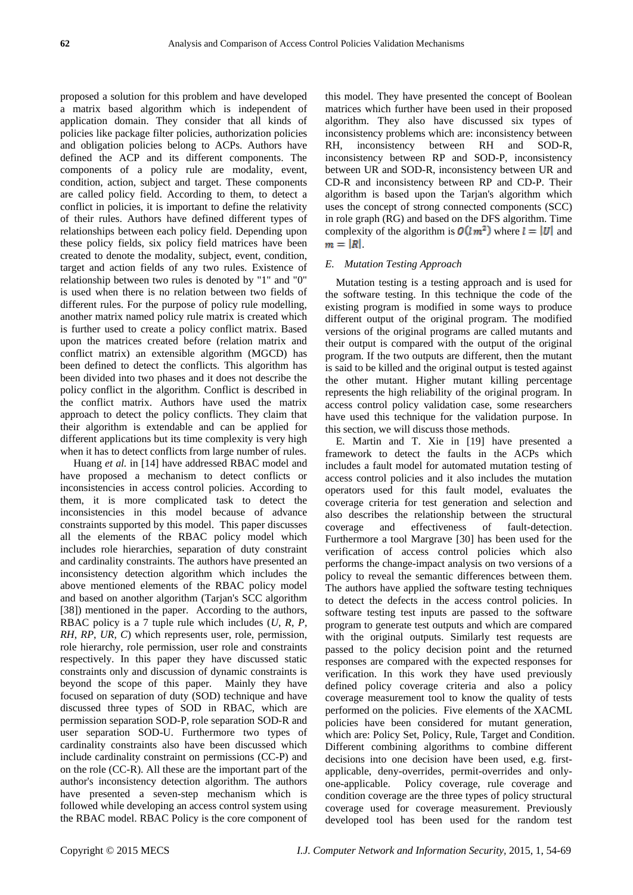proposed a solution for this problem and have developed a matrix based algorithm which is independent of application domain. They consider that all kinds of policies like package filter policies, authorization policies and obligation policies belong to ACPs. Authors have defined the ACP and its different components. The components of a policy rule are modality, event, condition, action, subject and target. These components are called policy field. According to them, to detect a conflict in policies, it is important to define the relativity of their rules. Authors have defined different types of relationships between each policy field. Depending upon these policy fields, six policy field matrices have been created to denote the modality, subject, event, condition, target and action fields of any two rules. Existence of relationship between two rules is denoted by "1" and "0" is used when there is no relation between two fields of different rules. For the purpose of policy rule modelling, another matrix named policy rule matrix is created which is further used to create a policy conflict matrix. Based upon the matrices created before (relation matrix and conflict matrix) an extensible algorithm (MGCD) has been defined to detect the conflicts. This algorithm has been divided into two phases and it does not describe the policy conflict in the algorithm. Conflict is described in the conflict matrix. Authors have used the matrix approach to detect the policy conflicts. They claim that their algorithm is extendable and can be applied for different applications but its time complexity is very high when it has to detect conflicts from large number of rules.

Huang *et al.* in [14] have addressed RBAC model and have proposed a mechanism to detect conflicts or inconsistencies in access control policies. According to them, it is more complicated task to detect the inconsistencies in this model because of advance constraints supported by this model. This paper discusses all the elements of the RBAC policy model which includes role hierarchies, separation of duty constraint and cardinality constraints. The authors have presented an inconsistency detection algorithm which includes the above mentioned elements of the RBAC policy model and based on another algorithm (Tarjan's SCC algorithm [38]) mentioned in the paper. According to the authors, RBAC policy is a 7 tuple rule which includes (*U*, *R*, *P, RH*, *RP*, *UR*, *C*) which represents user, role, permission, role hierarchy, role permission, user role and constraints respectively. In this paper they have discussed static constraints only and discussion of dynamic constraints is beyond the scope of this paper. Mainly they have focused on separation of duty (SOD) technique and have discussed three types of SOD in RBAC, which are permission separation SOD-P, role separation SOD-R and user separation SOD-U. Furthermore two types of cardinality constraints also have been discussed which include cardinality constraint on permissions (CC-P) and on the role (CC-R). All these are the important part of the author's inconsistency detection algorithm. The authors have presented a seven-step mechanism which is followed while developing an access control system using the RBAC model. RBAC Policy is the core component of this model. They have presented the concept of Boolean matrices which further have been used in their proposed algorithm. They also have discussed six types of inconsistency problems which are: inconsistency between RH, inconsistency between RH and SOD-R, inconsistency between RP and SOD-P, inconsistency between UR and SOD-R, inconsistency between UR and CD-R and inconsistency between RP and CD-P. Their algorithm is based upon the Tarjan's algorithm which uses the concept of strong connected components (SCC) in role graph (RG) and based on the DFS algorithm. Time complexity of the algorithm is  $O(l m^2)$  where  $l = |U|$  and  $m = |R|$ .

## *E. Mutation Testing Approach*

Mutation testing is a testing approach and is used for the software testing. In this technique the code of the existing program is modified in some ways to produce different output of the original program. The modified versions of the original programs are called mutants and their output is compared with the output of the original program. If the two outputs are different, then the mutant is said to be killed and the original output is tested against the other mutant. Higher mutant killing percentage represents the high reliability of the original program. In access control policy validation case, some researchers have used this technique for the validation purpose. In this section, we will discuss those methods.

E. Martin and T. Xie in [19] have presented a framework to detect the faults in the ACPs which includes a fault model for automated mutation testing of access control policies and it also includes the mutation operators used for this fault model, evaluates the coverage criteria for test generation and selection and also describes the relationship between the structural coverage and effectiveness of fault-detection. Furthermore a tool Margrave [30] has been used for the verification of access control policies which also performs the change-impact analysis on two versions of a policy to reveal the semantic differences between them. The authors have applied the software testing techniques to detect the defects in the access control policies. In software testing test inputs are passed to the software program to generate test outputs and which are compared with the original outputs. Similarly test requests are passed to the policy decision point and the returned responses are compared with the expected responses for verification. In this work they have used previously defined policy coverage criteria and also a policy coverage measurement tool to know the quality of tests performed on the policies. Five elements of the XACML policies have been considered for mutant generation, which are: Policy Set, Policy, Rule, Target and Condition. Different combining algorithms to combine different decisions into one decision have been used, e.g. firstapplicable, deny-overrides, permit-overrides and onlyone-applicable. Policy coverage, rule coverage and condition coverage are the three types of policy structural coverage used for coverage measurement. Previously developed tool has been used for the random test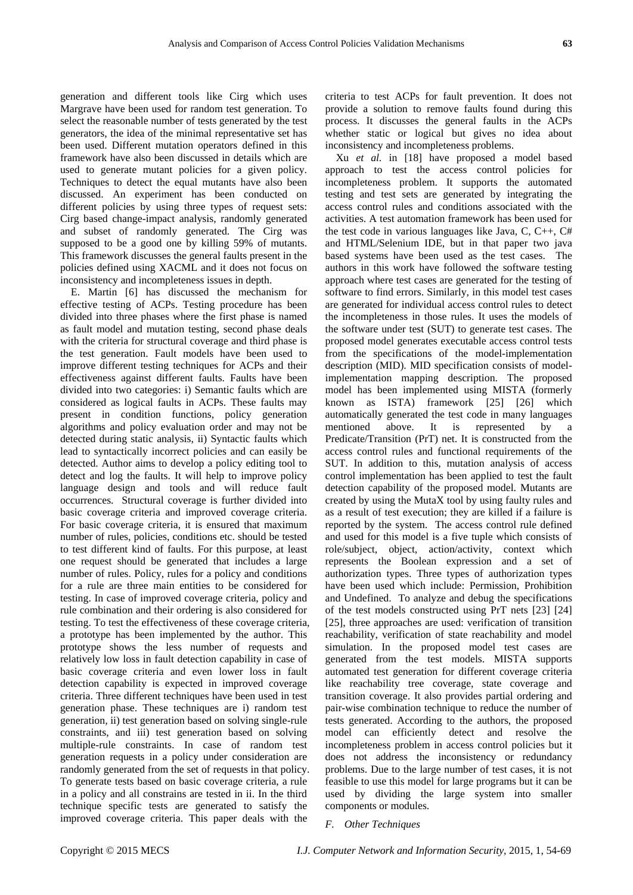generation and different tools like Cirg which uses Margrave have been used for random test generation. To select the reasonable number of tests generated by the test generators, the idea of the minimal representative set has been used. Different mutation operators defined in this framework have also been discussed in details which are used to generate mutant policies for a given policy. Techniques to detect the equal mutants have also been discussed. An experiment has been conducted on different policies by using three types of request sets: Cirg based change-impact analysis, randomly generated and subset of randomly generated. The Cirg was supposed to be a good one by killing 59% of mutants. This framework discusses the general faults present in the policies defined using XACML and it does not focus on inconsistency and incompleteness issues in depth.

E. Martin [6] has discussed the mechanism for effective testing of ACPs. Testing procedure has been divided into three phases where the first phase is named as fault model and mutation testing, second phase deals with the criteria for structural coverage and third phase is the test generation. Fault models have been used to improve different testing techniques for ACPs and their effectiveness against different faults. Faults have been divided into two categories: i) Semantic faults which are considered as logical faults in ACPs. These faults may present in condition functions, policy generation algorithms and policy evaluation order and may not be detected during static analysis, ii) Syntactic faults which lead to syntactically incorrect policies and can easily be detected. Author aims to develop a policy editing tool to detect and log the faults. It will help to improve policy language design and tools and will reduce fault occurrences. Structural coverage is further divided into basic coverage criteria and improved coverage criteria. For basic coverage criteria, it is ensured that maximum number of rules, policies, conditions etc. should be tested to test different kind of faults. For this purpose, at least one request should be generated that includes a large number of rules. Policy, rules for a policy and conditions for a rule are three main entities to be considered for testing. In case of improved coverage criteria, policy and rule combination and their ordering is also considered for testing. To test the effectiveness of these coverage criteria, a prototype has been implemented by the author. This prototype shows the less number of requests and relatively low loss in fault detection capability in case of basic coverage criteria and even lower loss in fault detection capability is expected in improved coverage criteria. Three different techniques have been used in test generation phase. These techniques are i) random test generation, ii) test generation based on solving single-rule constraints, and iii) test generation based on solving multiple-rule constraints. In case of random test generation requests in a policy under consideration are randomly generated from the set of requests in that policy. To generate tests based on basic coverage criteria, a rule in a policy and all constrains are tested in ii. In the third technique specific tests are generated to satisfy the improved coverage criteria. This paper deals with the

criteria to test ACPs for fault prevention. It does not provide a solution to remove faults found during this process. It discusses the general faults in the ACPs whether static or logical but gives no idea about inconsistency and incompleteness problems.

Xu *et al.* in [18] have proposed a model based approach to test the access control policies for incompleteness problem. It supports the automated testing and test sets are generated by integrating the access control rules and conditions associated with the activities. A test automation framework has been used for the test code in various languages like Java, C, C++, C# and HTML/Selenium IDE, but in that paper two java based systems have been used as the test cases. The authors in this work have followed the software testing approach where test cases are generated for the testing of software to find errors. Similarly, in this model test cases are generated for individual access control rules to detect the incompleteness in those rules. It uses the models of the software under test (SUT) to generate test cases. The proposed model generates executable access control tests from the specifications of the model-implementation description (MID). MID specification consists of modelimplementation mapping description. The proposed model has been implemented using MISTA (formerly known as ISTA) framework [25] [26] which automatically generated the test code in many languages mentioned above. It is represented by a Predicate/Transition (PrT) net. It is constructed from the access control rules and functional requirements of the SUT. In addition to this, mutation analysis of access control implementation has been applied to test the fault detection capability of the proposed model. Mutants are created by using the MutaX tool by using faulty rules and as a result of test execution; they are killed if a failure is reported by the system. The access control rule defined and used for this model is a five tuple which consists of role/subject, object, action/activity, context which represents the Boolean expression and a set of authorization types. Three types of authorization types have been used which include: Permission, Prohibition and Undefined. To analyze and debug the specifications of the test models constructed using PrT nets [23] [24] [25], three approaches are used: verification of transition reachability, verification of state reachability and model simulation. In the proposed model test cases are generated from the test models. MISTA supports automated test generation for different coverage criteria like reachability tree coverage, state coverage and transition coverage. It also provides partial ordering and pair-wise combination technique to reduce the number of tests generated. According to the authors, the proposed model can efficiently detect and resolve the incompleteness problem in access control policies but it does not address the inconsistency or redundancy problems. Due to the large number of test cases, it is not feasible to use this model for large programs but it can be used by dividing the large system into smaller components or modules.

#### *F. Other Techniques*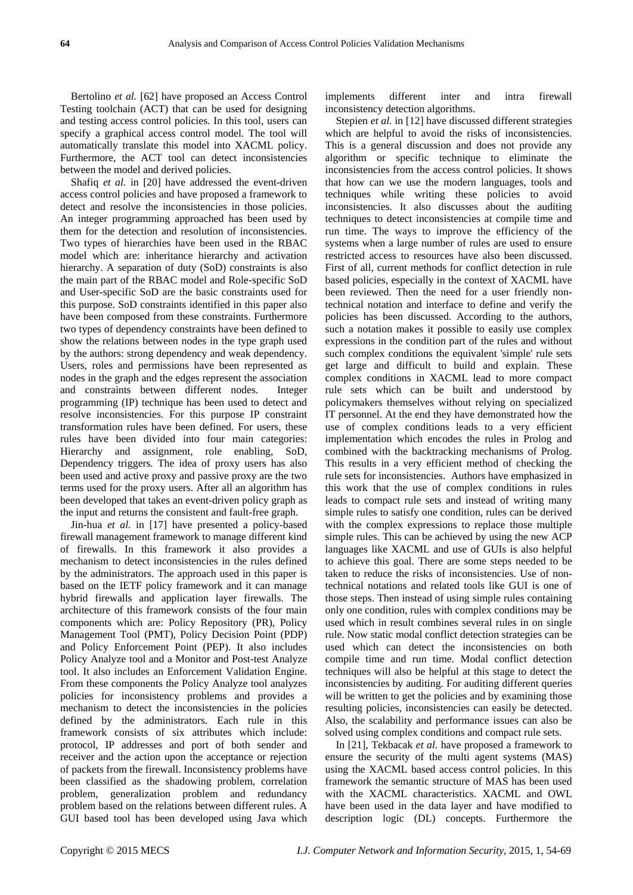Bertolino *et al.* [62] have proposed an Access Control Testing toolchain (ACT) that can be used for designing and testing access control policies. In this tool, users can specify a graphical access control model. The tool will automatically translate this model into XACML policy. Furthermore, the ACT tool can detect inconsistencies between the model and derived policies.

Shafiq *et al.* in [20] have addressed the event-driven access control policies and have proposed a framework to detect and resolve the inconsistencies in those policies. An integer programming approached has been used by them for the detection and resolution of inconsistencies. Two types of hierarchies have been used in the RBAC model which are: inheritance hierarchy and activation hierarchy. A separation of duty (SoD) constraints is also the main part of the RBAC model and Role-specific SoD and User-specific SoD are the basic constraints used for this purpose. SoD constraints identified in this paper also have been composed from these constraints. Furthermore two types of dependency constraints have been defined to show the relations between nodes in the type graph used by the authors: strong dependency and weak dependency. Users, roles and permissions have been represented as nodes in the graph and the edges represent the association and constraints between different nodes. Integer programming (IP) technique has been used to detect and resolve inconsistencies. For this purpose IP constraint transformation rules have been defined. For users, these rules have been divided into four main categories: Hierarchy and assignment, role enabling, SoD, Dependency triggers. The idea of proxy users has also been used and active proxy and passive proxy are the two terms used for the proxy users. After all an algorithm has been developed that takes an event-driven policy graph as the input and returns the consistent and fault-free graph.

Jin-hua *et al.* in [17] have presented a policy-based firewall management framework to manage different kind of firewalls. In this framework it also provides a mechanism to detect inconsistencies in the rules defined by the administrators. The approach used in this paper is based on the IETF policy framework and it can manage hybrid firewalls and application layer firewalls. The architecture of this framework consists of the four main components which are: Policy Repository (PR), Policy Management Tool (PMT), Policy Decision Point (PDP) and Policy Enforcement Point (PEP). It also includes Policy Analyze tool and a Monitor and Post-test Analyze tool. It also includes an Enforcement Validation Engine. From these components the Policy Analyze tool analyzes policies for inconsistency problems and provides a mechanism to detect the inconsistencies in the policies defined by the administrators. Each rule in this framework consists of six attributes which include: protocol, IP addresses and port of both sender and receiver and the action upon the acceptance or rejection of packets from the firewall. Inconsistency problems have been classified as the shadowing problem, correlation problem, generalization problem and redundancy problem based on the relations between different rules. A GUI based tool has been developed using Java which

implements different inter and intra firewall inconsistency detection algorithms.

Stepien *et al.* in [12] have discussed different strategies which are helpful to avoid the risks of inconsistencies. This is a general discussion and does not provide any algorithm or specific technique to eliminate the inconsistencies from the access control policies. It shows that how can we use the modern languages, tools and techniques while writing these policies to avoid inconsistencies. It also discusses about the auditing techniques to detect inconsistencies at compile time and run time. The ways to improve the efficiency of the systems when a large number of rules are used to ensure restricted access to resources have also been discussed. First of all, current methods for conflict detection in rule based policies, especially in the context of XACML have been reviewed. Then the need for a user friendly nontechnical notation and interface to define and verify the policies has been discussed. According to the authors, such a notation makes it possible to easily use complex expressions in the condition part of the rules and without such complex conditions the equivalent 'simple' rule sets get large and difficult to build and explain. These complex conditions in XACML lead to more compact rule sets which can be built and understood by policymakers themselves without relying on specialized IT personnel. At the end they have demonstrated how the use of complex conditions leads to a very efficient implementation which encodes the rules in Prolog and combined with the backtracking mechanisms of Prolog. This results in a very efficient method of checking the rule sets for inconsistencies. Authors have emphasized in this work that the use of complex conditions in rules leads to compact rule sets and instead of writing many simple rules to satisfy one condition, rules can be derived with the complex expressions to replace those multiple simple rules. This can be achieved by using the new ACP languages like XACML and use of GUIs is also helpful to achieve this goal. There are some steps needed to be taken to reduce the risks of inconsistencies. Use of nontechnical notations and related tools like GUI is one of those steps. Then instead of using simple rules containing only one condition, rules with complex conditions may be used which in result combines several rules in on single rule. Now static modal conflict detection strategies can be used which can detect the inconsistencies on both compile time and run time. Modal conflict detection techniques will also be helpful at this stage to detect the inconsistencies by auditing. For auditing different queries will be written to get the policies and by examining those resulting policies, inconsistencies can easily be detected. Also, the scalability and performance issues can also be solved using complex conditions and compact rule sets.

In [21], Tekbacak *et al.* have proposed a framework to ensure the security of the multi agent systems (MAS) using the XACML based access control policies. In this framework the semantic structure of MAS has been used with the XACML characteristics. XACML and OWL have been used in the data layer and have modified to description logic (DL) concepts. Furthermore the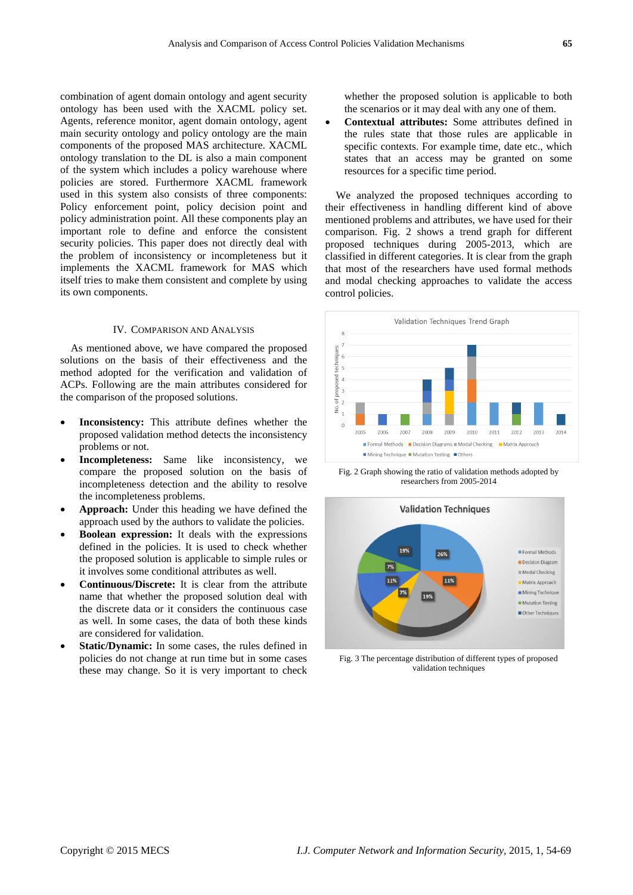combination of agent domain ontology and agent security ontology has been used with the XACML policy set. Agents, reference monitor, agent domain ontology, agent main security ontology and policy ontology are the main components of the proposed MAS architecture. XACML ontology translation to the DL is also a main component of the system which includes a policy warehouse where policies are stored. Furthermore XACML framework used in this system also consists of three components: Policy enforcement point, policy decision point and policy administration point. All these components play an important role to define and enforce the consistent security policies. This paper does not directly deal with the problem of inconsistency or incompleteness but it implements the XACML framework for MAS which itself tries to make them consistent and complete by using its own components.

## IV. COMPARISON AND ANALYSIS

As mentioned above, we have compared the proposed solutions on the basis of their effectiveness and the method adopted for the verification and validation of ACPs. Following are the main attributes considered for the comparison of the proposed solutions.

- **Inconsistency:** This attribute defines whether the proposed validation method detects the inconsistency problems or not.
- **Incompleteness:** Same like inconsistency, we compare the proposed solution on the basis of incompleteness detection and the ability to resolve the incompleteness problems.
- **Approach:** Under this heading we have defined the approach used by the authors to validate the policies.
- **Boolean expression:** It deals with the expressions defined in the policies. It is used to check whether the proposed solution is applicable to simple rules or it involves some conditional attributes as well.
- **Continuous/Discrete:** It is clear from the attribute name that whether the proposed solution deal with the discrete data or it considers the continuous case as well. In some cases, the data of both these kinds are considered for validation.
- **Static/Dynamic:** In some cases, the rules defined in policies do not change at run time but in some cases these may change. So it is very important to check

whether the proposed solution is applicable to both the scenarios or it may deal with any one of them.

 **Contextual attributes:** Some attributes defined in the rules state that those rules are applicable in specific contexts. For example time, date etc., which states that an access may be granted on some resources for a specific time period.

We analyzed the proposed techniques according to their effectiveness in handling different kind of above mentioned problems and attributes, we have used for their comparison. Fig. 2 shows a trend graph for different proposed techniques during 2005-2013, which are classified in different categories. It is clear from the graph that most of the researchers have used formal methods and modal checking approaches to validate the access control policies.



Fig. 2 Graph showing the ratio of validation methods adopted by researchers from 2005-2014



Fig. 3 The percentage distribution of different types of proposed validation techniques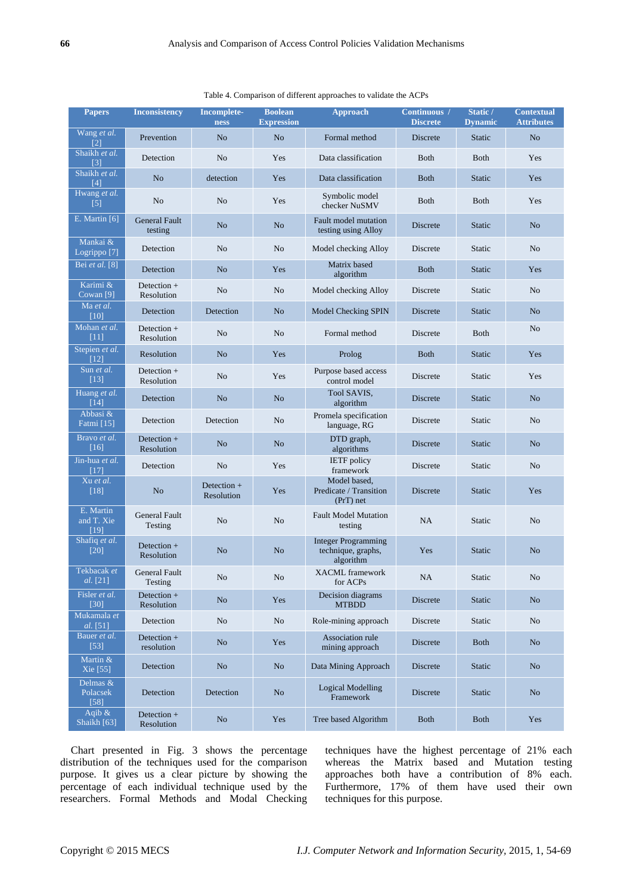| <b>Papers</b>                       | <b>Inconsistency</b>            | <b>Incomplete-</b><br><b>ness</b> | <b>Boolean</b><br><b>Expression</b> | <b>Approach</b>                                               | Continuous /<br><b>Discrete</b> | Static /<br><b>Dynamic</b> | <b>Contextual</b><br><b>Attributes</b> |
|-------------------------------------|---------------------------------|-----------------------------------|-------------------------------------|---------------------------------------------------------------|---------------------------------|----------------------------|----------------------------------------|
| Wang et al.<br>$\overline{121}$     | Prevention                      | No                                | N <sub>o</sub>                      | Formal method                                                 | <b>Discrete</b>                 | <b>Static</b>              | N <sub>o</sub>                         |
| Shaikh et al.<br>$\lceil 3 \rceil$  | Detection                       | N <sub>o</sub>                    | Yes                                 | Data classification                                           | Both                            | <b>Both</b>                | Yes                                    |
| Shaikh et al.<br>[4]                | N <sub>o</sub>                  | detection                         | Yes                                 | Data classification                                           | <b>Both</b>                     | <b>Static</b>              | Yes                                    |
| Hwang et al.<br>[5]                 | N <sub>o</sub>                  | No                                | Yes                                 | Symbolic model<br>checker NuSMV                               | <b>Both</b>                     | <b>Both</b>                | Yes                                    |
| E. Martin $[6]$                     | <b>General Fault</b><br>testing | N <sub>o</sub>                    | N <sub>o</sub>                      | <b>Fault model mutation</b><br>testing using Alloy            | Discrete                        | <b>Static</b>              | N <sub>o</sub>                         |
| Mankai &<br>Logrippo <sup>[7]</sup> | Detection                       | N <sub>o</sub>                    | No                                  | Model checking Alloy                                          | Discrete                        | <b>Static</b>              | No                                     |
| Bei et al. [8]                      | Detection                       | N <sub>o</sub>                    | Yes                                 | Matrix based<br>algorithm                                     | <b>Both</b>                     | <b>Static</b>              | Yes                                    |
| Karimi &<br>Cowan $[9]$             | Detection +<br>Resolution       | N <sub>o</sub>                    | N <sub>o</sub>                      | Model checking Alloy                                          | Discrete                        | Static                     | No.                                    |
| Ma et al.<br>[10]                   | Detection                       | Detection                         | No                                  | Model Checking SPIN                                           | Discrete                        | <b>Static</b>              | N <sub>o</sub>                         |
| Mohan et al.<br>$[11]$              | Detection $+$<br>Resolution     | N <sub>o</sub>                    | N <sub>o</sub>                      | Formal method                                                 | Discrete                        | <b>Both</b>                | No                                     |
| Stepien et al.<br>[12]              | Resolution                      | N <sub>o</sub>                    | Yes                                 | Prolog                                                        | <b>Both</b>                     | Static                     | Yes                                    |
| Sun et al.<br>$[13]$                | Detection +<br>Resolution       | N <sub>o</sub>                    | Yes                                 | Purpose based access<br>control model                         | Discrete                        | Static                     | Yes                                    |
| Huang et al.<br>[14]                | Detection                       | N <sub>o</sub>                    | N <sub>o</sub>                      | Tool SAVIS,<br>algorithm                                      | Discrete                        | <b>Static</b>              | N <sub>o</sub>                         |
| Abbasi &<br>Fatmi [15]              | Detection                       | Detection                         | N <sub>o</sub>                      | Promela specification<br>language, RG                         | Discrete                        | Static                     | No                                     |
| Bravo et al.<br>[16]                | Detection $+$<br>Resolution     | N <sub>o</sub>                    | N <sub>o</sub>                      | DTD graph,<br>algorithms                                      | <b>Discrete</b>                 | <b>Static</b>              | N <sub>o</sub>                         |
| Jin-hua et al.<br>$\overline{[17]}$ | Detection                       | N <sub>o</sub>                    | Yes                                 | <b>IETF</b> policy<br>framework                               | Discrete                        | Static                     | No                                     |
| Xu et al.<br>$[18]$                 | N <sub>o</sub>                  | Detection +<br>Resolution         | Yes                                 | Model based,<br>Predicate / Transition<br>$(PrT)$ net         | Discrete                        | <b>Static</b>              | Yes                                    |
| E. Martin<br>and T. Xie<br>[19]     | <b>General Fault</b><br>Testing | No                                | N <sub>o</sub>                      | <b>Fault Model Mutation</b><br>testing                        | NA                              | <b>Static</b>              | N <sub>o</sub>                         |
| Shafiq et al.<br>[20]               | Detection $+$<br>Resolution     | N <sub>o</sub>                    | N <sub>o</sub>                      | <b>Integer Programming</b><br>technique, graphs,<br>algorithm | Yes                             | <b>Static</b>              | No                                     |
| Tekbacak et<br>al. [21]             | <b>General Fault</b><br>Testing | $\rm No$                          | $\rm No$                            | <b>XACML</b> framework<br>for ACPs                            | NA                              | Static                     | No                                     |
| Fisler et al.<br>$[30]$             | Detection +<br>Resolution       | N <sub>o</sub>                    | Yes                                 | Decision diagrams<br><b>MTBDD</b>                             | Discrete                        | Static                     | No                                     |
| Mukamala et<br>al. [51]             | Detection                       | N <sub>o</sub>                    | N <sub>o</sub>                      | Role-mining approach                                          | Discrete                        | <b>Static</b>              | N <sub>o</sub>                         |
| Bauer et al.<br>$[53]$              | Detection +<br>resolution       | No                                | Yes                                 | Association rule<br>mining approach                           | Discrete                        | <b>Both</b>                | N <sub>o</sub>                         |
| Martin &<br>Xie [55]                | Detection                       | No                                | No                                  | Data Mining Approach                                          | Discrete                        | Static                     | No                                     |
| Delmas &<br>Polacsek<br>$[58]$      | Detection                       | Detection                         | No                                  | <b>Logical Modelling</b><br>Framework                         | Discrete                        | <b>Static</b>              | N <sub>o</sub>                         |
| Aqib $\&$<br>Shaikh [63]            | Detection +<br>Resolution       | N <sub>o</sub>                    | Yes                                 | Tree based Algorithm                                          | <b>Both</b>                     | <b>Both</b>                | Yes                                    |

Table 4. Comparison of different approaches to validate the ACPs

Chart presented in Fig. 3 shows the percentage distribution of the techniques used for the comparison purpose. It gives us a clear picture by showing the percentage of each individual technique used by the researchers. Formal Methods and Modal Checking techniques have the highest percentage of 21% each whereas the Matrix based and Mutation testing approaches both have a contribution of 8% each. Furthermore, 17% of them have used their own techniques for this purpose.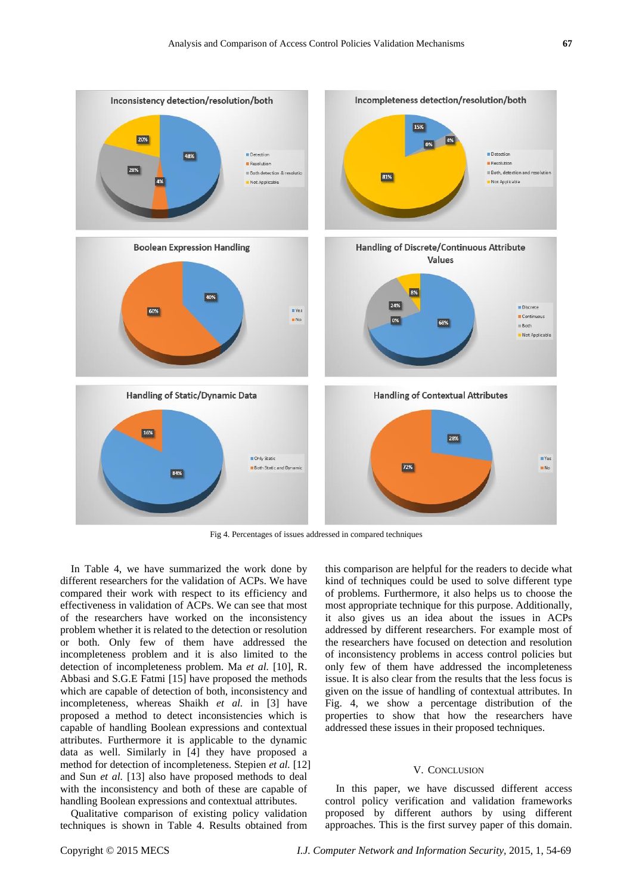

Fig 4. Percentages of issues addressed in compared techniques

In Table 4, we have summarized the work done by different researchers for the validation of ACPs. We have compared their work with respect to its efficiency and effectiveness in validation of ACPs. We can see that most of the researchers have worked on the inconsistency problem whether it is related to the detection or resolution or both. Only few of them have addressed the incompleteness problem and it is also limited to the detection of incompleteness problem. Ma *et al.* [10], R. Abbasi and S.G.E Fatmi [15] have proposed the methods which are capable of detection of both, inconsistency and incompleteness, whereas Shaikh *et al.* in [3] have proposed a method to detect inconsistencies which is capable of handling Boolean expressions and contextual attributes. Furthermore it is applicable to the dynamic data as well. Similarly in [4] they have proposed a method for detection of incompleteness. Stepien *et al.* [12] and Sun *et al.* [13] also have proposed methods to deal with the inconsistency and both of these are capable of handling Boolean expressions and contextual attributes.

Qualitative comparison of existing policy validation techniques is shown in Table 4. Results obtained from

this comparison are helpful for the readers to decide what kind of techniques could be used to solve different type of problems. Furthermore, it also helps us to choose the most appropriate technique for this purpose. Additionally, it also gives us an idea about the issues in ACPs addressed by different researchers. For example most of the researchers have focused on detection and resolution of inconsistency problems in access control policies but only few of them have addressed the incompleteness issue. It is also clear from the results that the less focus is given on the issue of handling of contextual attributes. In Fig. 4, we show a percentage distribution of the properties to show that how the researchers have addressed these issues in their proposed techniques.

#### V. CONCLUSION

In this paper, we have discussed different access control policy verification and validation frameworks proposed by different authors by using different approaches. This is the first survey paper of this domain.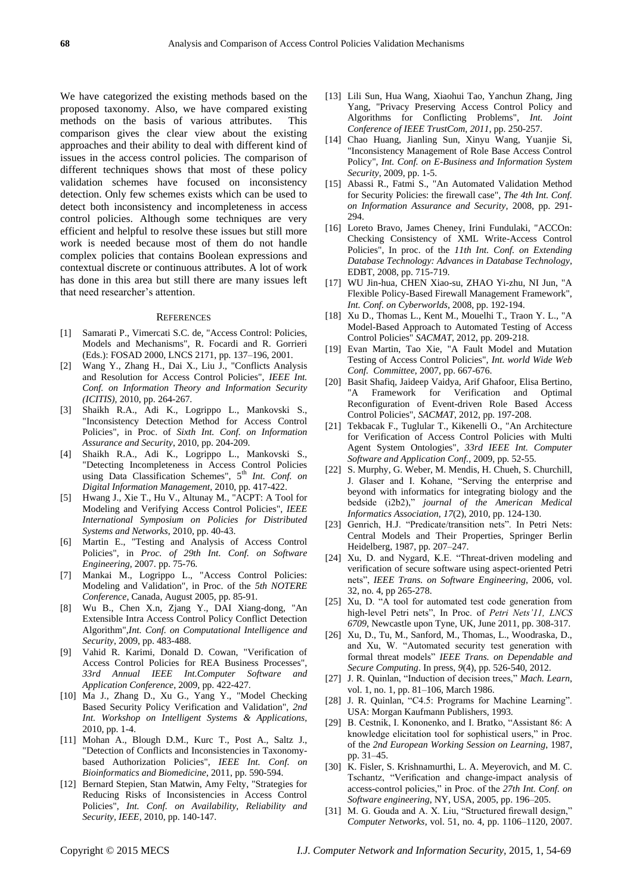We have categorized the existing methods based on the proposed taxonomy. Also, we have compared existing methods on the basis of various attributes. This comparison gives the clear view about the existing approaches and their ability to deal with different kind of issues in the access control policies. The comparison of different techniques shows that most of these policy validation schemes have focused on inconsistency detection. Only few schemes exists which can be used to detect both inconsistency and incompleteness in access control policies. Although some techniques are very efficient and helpful to resolve these issues but still more work is needed because most of them do not handle complex policies that contains Boolean expressions and contextual discrete or continuous attributes. A lot of work has done in this area but still there are many issues left that need researcher's attention.

#### **REFERENCES**

- [1] Samarati P., Vimercati S.C. de, "Access Control: Policies, Models and Mechanisms", R. Focardi and R. Gorrieri (Eds.): FOSAD 2000, LNCS 2171, pp. 137–196, 2001.
- [2] Wang Y., Zhang H., Dai X., Liu J., "Conflicts Analysis and Resolution for Access Control Policies", *IEEE Int. Conf. on Information Theory and Information Security (ICITIS),* 2010, pp. 264-267.
- [3] Shaikh R.A., Adi K., Logrippo L., Mankovski S., "Inconsistency Detection Method for Access Control Policies", in Proc. of *Sixth Int. Conf. on Information Assurance and Security*, 2010, pp. 204-209.
- [4] Shaikh R.A., Adi K., Logrippo L., Mankovski S., "Detecting Incompleteness in Access Control Policies using Data Classification Schemes", 5<sup>th</sup> Int. Conf. on *Digital Information Management,* 2010, pp. 417-422.
- [5] Hwang J., Xie T., Hu V., Altunay M., "ACPT: A Tool for Modeling and Verifying Access Control Policies", *IEEE International Symposium on Policies for Distributed Systems and Networks*, 2010, pp. 40-43.
- [6] Martin E., "Testing and Analysis of Access Control Policies", in *Proc. of 29th Int. Conf. on Software Engineering*, 2007. pp. 75-76.
- [7] Mankai M., Logrippo L., "Access Control Policies: Modeling and Validation", in Proc. of the *5th NOTERE Conference*, Canada, August 2005, pp. 85-91.
- [8] Wu B., Chen X.n, Zjang Y., DAI Xiang-dong, "An Extensible Intra Access Control Policy Conflict Detection Algorithm",*Int. Conf. on Computational Intelligence and Security*, 2009, pp. 483-488.
- [9] Vahid R. Karimi, Donald D. Cowan, "Verification of Access Control Policies for REA Business Processes", *33rd Annual IEEE Int.Computer Software and Application Conference*, 2009, pp. 422-427.
- [10] Ma J., Zhang D., Xu G., Yang Y., "Model Checking Based Security Policy Verification and Validation", *2nd Int. Workshop on Intelligent Systems & Applications*, 2010, pp. 1-4.
- [11] Mohan A., Blough D.M., Kurc T., Post A., Saltz J., "Detection of Conflicts and Inconsistencies in Taxonomybased Authorization Policies", *IEEE Int. Conf. on Bioinformatics and Biomedicine*, 2011, pp. 590-594.
- [12] Bernard Stepien, Stan Matwin, Amy Felty, "Strategies for Reducing Risks of Inconsistencies in Access Control Policies", *Int. Conf. on Availability, Reliability and Security, IEEE*, 2010, pp. 140-147.
- [13] Lili Sun, Hua Wang, Xiaohui Tao, Yanchun Zhang, Jing Yang, "Privacy Preserving Access Control Policy and Algorithms for Conflicting Problems", *Int. Joint Conference of IEEE TrustCom, 2011*, pp. 250-257.
- [14] Chao Huang, Jianling Sun, Xinyu Wang, Yuanjie Si, "Inconsistency Management of Role Base Access Control Policy", *Int. Conf. on E-Business and Information System Security*, 2009, pp. 1-5.
- [15] Abassi R., Fatmi S., "An Automated Validation Method for Security Policies: the firewall case", *The 4th Int. Conf. on Information Assurance and Security,* 2008, pp. 291- 294.
- [16] Loreto Bravo, James Cheney, Irini Fundulaki, "ACCOn: Checking Consistency of XML Write-Access Control Policies", In proc. of the *11th Int. Conf. on Extending Database Technology: Advances in Database Technology*, EDBT, 2008, pp. 715-719.
- [17] WU Jin-hua, CHEN Xiao-su, ZHAO Yi-zhu, NI Jun, "A Flexible Policy-Based Firewall Management Framework", *Int. Conf. on Cyberworlds*, 2008, pp. 192-194.
- [18] Xu D., Thomas L., Kent M., Mouelhi T., Traon Y. L., "A Model-Based Approach to Automated Testing of Access Control Policies" *SACMAT*, 2012, pp. 209-218.
- [19] Evan Martin, Tao Xie, "A Fault Model and Mutation Testing of Access Control Policies", *Int. world Wide Web Conf. Committee*, 2007, pp. 667-676.
- [20] Basit Shafiq, Jaideep Vaidya, Arif Ghafoor, Elisa Bertino, "A Framework for Verification and Optimal Reconfiguration of Event-driven Role Based Access Control Policies", *SACMAT*, 2012, pp. 197-208.
- [21] Tekbacak F., Tuglular T., Kikenelli O., "An Architecture for Verification of Access Control Policies with Multi Agent System Ontologies", *33rd IEEE Int. Computer Software and Application Conf.*, 2009, pp. 52-55.
- [22] S. Murphy, G. Weber, M. Mendis, H. Chueh, S. Churchill, J. Glaser and I. Kohane, "Serving the enterprise and beyond with informatics for integrating biology and the bedside (i2b2)," *journal of the American Medical Informatics Association*, *17*(2), 2010, pp. 124-130.
- [23] Genrich, H.J. "Predicate/transition nets". In Petri Nets: Central Models and Their Properties, Springer Berlin Heidelberg, 1987, pp. 207–247.
- [24] Xu, D. and Nygard, K.E. "Threat-driven modeling and verification of secure software using aspect-oriented Petri nets‖, *IEEE Trans. on Software Engineering*, 2006, vol. 32, no. 4, pp 265-278.
- [25] Xu, D. "A tool for automated test code generation from high-level Petri nets", In Proc. of Petri Nets'11, LNCS *6709*, Newcastle upon Tyne, UK, June 2011, pp. 308-317.
- [26] Xu, D., Tu, M., Sanford, M., Thomas, L., Woodraska, D., and Xu, W. "Automated security test generation with formal threat models" IEEE Trans. on Dependable and *Secure Computing*. In press, *9*(4), pp. 526-540, 2012.
- [27] J. R. Quinlan, "Induction of decision trees," Mach. Learn, vol. 1, no. 1, pp. 81–106, March 1986.
- [28] J. R. Quinlan, "C4.5: Programs for Machine Learning". USA: Morgan Kaufmann Publishers, 1993.
- [29] B. Cestnik, I. Kononenko, and I. Bratko, "Assistant 86: A knowledge elicitation tool for sophistical users," in Proc. of the *2nd European Working Session on Learning*, 1987, pp. 31–45.
- [30] K. Fisler, S. Krishnamurthi, L. A. Meyerovich, and M. C. Tschantz, "Verification and change-impact analysis of access-control policies," in Proc. of the 27th Int. Conf. on *Software engineering*, NY, USA, 2005, pp. 196–205.
- [31] M. G. Gouda and A. X. Liu, "Structured firewall design," *Computer Networks*, vol. 51, no. 4, pp. 1106–1120, 2007.